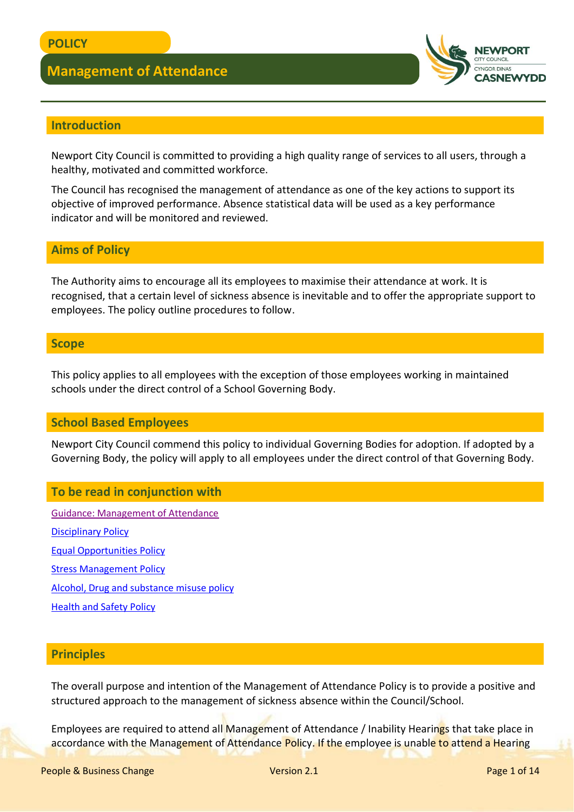

### **Introduction**

Newport City Council is committed to providing a high quality range of services to all users, through a healthy, motivated and committed workforce.

The Council has recognised the management of attendance as one of the key actions to support its objective of improved performance. Absence statistical data will be used as a key performance indicator and will be monitored and reviewed.

#### **Aims of Policy**

The Authority aims to encourage all its employees to maximise their attendance at work. It is recognised, that a certain level of sickness absence is inevitable and to offer the appropriate support to employees. The policy outline procedures to follow.

#### **Scope**

This policy applies to all employees with the exception of those employees working in maintained schools under the direct control of a School Governing Body.

#### **School Based Employees**

Newport City Council commend this policy to individual Governing Bodies for adoption. If adopted by a Governing Body, the policy will apply to all employees under the direct control of that Governing Body.

#### **To be read in conjunction with**

[Guidance: Management of Attendance](http://www.newport.gov.uk/documents/Policies/HR-Management-of-Attendance-Guidance.pdf) **[Disciplinary Policy](http://www.newport.gov.uk/documents/Policies/HR-Disciplinary-Policy.pdf)** [Equal Opportunities Policy](https://democracy.newport.gov.uk/Data/Learning%20Caring%20and%20Leisure%20Scrutiny%20Committee/20020502/Agenda/$14301%20-%20N_010372.doc.pdf) [Stress Management Policy](http://www.newport.gov.uk/documents/Policies/HS-Stress-Management-Policy.pdf) [Alcohol, Drug and substance misuse policy](http://www.newport.gov.uk/documents/Policies/HR-Alcohol-and-Drug-Policy.pdf) [Health and Safety Policy](http://www.newport.gov.uk/documents/Policies/HS-Corporate-Health-Safety-and-Wellbeing-Policy.pdf)

#### **Principles**

The overall purpose and intention of the Management of Attendance Policy is to provide a positive and structured approach to the management of sickness absence within the Council/School.

Employees are required to attend all Management of Attendance / Inability Hearings that take place in accordance with the Management of Attendance Policy. If the employee is unable to attend a Hearing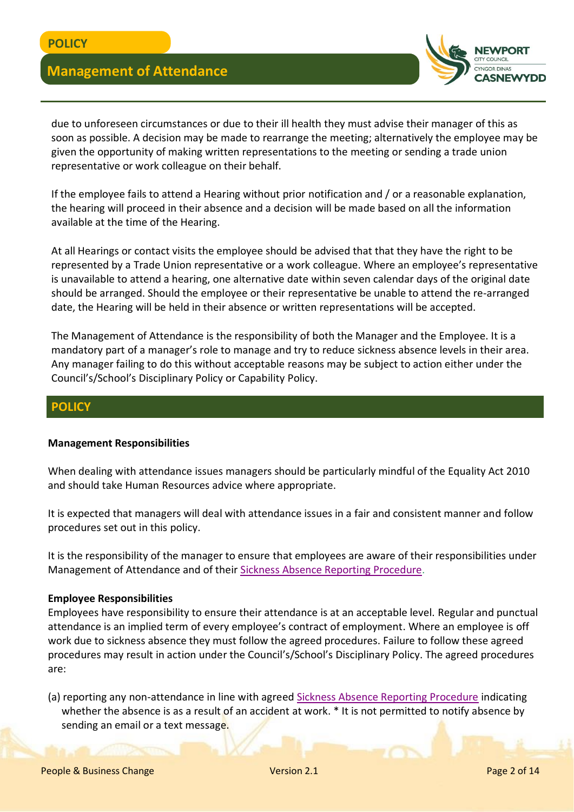

due to unforeseen circumstances or due to their ill health they must advise their manager of this as soon as possible. A decision may be made to rearrange the meeting; alternatively the employee may be given the opportunity of making written representations to the meeting or sending a trade union representative or work colleague on their behalf.

If the employee fails to attend a Hearing without prior notification and / or a reasonable explanation, the hearing will proceed in their absence and a decision will be made based on all the information available at the time of the Hearing.

At all Hearings or contact visits the employee should be advised that that they have the right to be represented by a Trade Union representative or a work colleague. Where an employee's representative is unavailable to attend a hearing, one alternative date within seven calendar days of the original date should be arranged. Should the employee or their representative be unable to attend the re-arranged date, the Hearing will be held in their absence or written representations will be accepted.

The Management of Attendance is the responsibility of both the Manager and the Employee. It is a mandatory part of a manager's role to manage and try to reduce sickness absence levels in their area. Any manager failing to do this without acceptable reasons may be subject to action either under the Council's/School's Disciplinary Policy or Capability Policy.

#### **POLICY**

#### **Management Responsibilities**

When dealing with attendance issues managers should be particularly mindful of the Equality Act 2010 and should take Human Resources advice where appropriate.

It is expected that managers will deal with attendance issues in a fair and consistent manner and follow procedures set out in this policy.

It is the responsibility of the manager to ensure that employees are aware of their responsibilities under Management of Attendance and of their [Sickness Absence Reporting Procedure.](http://www.newport.gov.uk/documents/Policies/HR-Sickness-Absence-Reporting-Procedure.pdf)

#### **Employee Responsibilities**

Employees have responsibility to ensure their attendance is at an acceptable level. Regular and punctual attendance is an implied term of every employee's contract of employment. Where an employee is off work due to sickness absence they must follow the agreed procedures. Failure to follow these agreed procedures may result in action under the Council's/School's Disciplinary Policy. The agreed procedures are:

(a) reporting any non-attendance in line with agreed [Sickness Absence Reporting Procedure](http://www.newport.gov.uk/documents/Policies/HR-Sickness-Absence-Reporting-Procedure.pdf) indicating whether the absence is as a result of an accident at work. \* It is not permitted to notify absence by sending an email or a text message.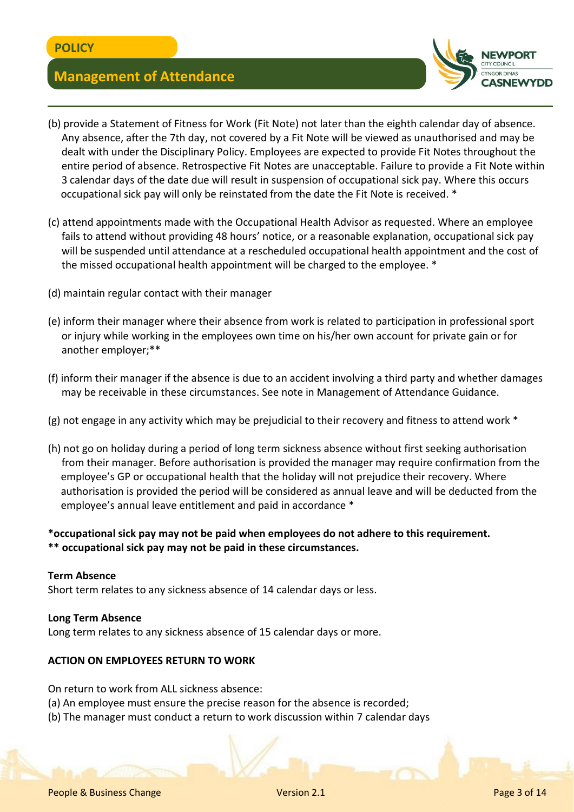

- (b) provide a Statement of Fitness for Work (Fit Note) not later than the eighth calendar day of absence. Any absence, after the 7th day, not covered by a Fit Note will be viewed as unauthorised and may be dealt with under the Disciplinary Policy. Employees are expected to provide Fit Notes throughout the entire period of absence. Retrospective Fit Notes are unacceptable. Failure to provide a Fit Note within 3 calendar days of the date due will result in suspension of occupational sick pay. Where this occurs occupational sick pay will only be reinstated from the date the Fit Note is received. \*
- (c) attend appointments made with the Occupational Health Advisor as requested. Where an employee fails to attend without providing 48 hours' notice, or a reasonable explanation, occupational sick pay will be suspended until attendance at a rescheduled occupational health appointment and the cost of the missed occupational health appointment will be charged to the employee. \*
- (d) maintain regular contact with their manager
- (e) inform their manager where their absence from work is related to participation in professional sport or injury while working in the employees own time on his/her own account for private gain or for another employer;\*\*
- (f) inform their manager if the absence is due to an accident involving a third party and whether damages may be receivable in these circumstances. See note in Management of Attendance Guidance.
- (g) not engage in any activity which may be prejudicial to their recovery and fitness to attend work  $*$
- (h) not go on holiday during a period of long term sickness absence without first seeking authorisation from their manager. Before authorisation is provided the manager may require confirmation from the employee's GP or occupational health that the holiday will not prejudice their recovery. Where authorisation is provided the period will be considered as annual leave and will be deducted from the employee's annual leave entitlement and paid in accordance \*

#### **\*occupational sick pay may not be paid when employees do not adhere to this requirement. \*\* occupational sick pay may not be paid in these circumstances.**

#### **Term Absence**

Short term relates to any sickness absence of 14 calendar days or less.

#### **Long Term Absence**

Long term relates to any sickness absence of 15 calendar days or more.

#### **ACTION ON EMPLOYEES RETURN TO WORK**

On return to work from ALL sickness absence:

- (a) An employee must ensure the precise reason for the absence is recorded;
- (b) The manager must conduct a return to work discussion within 7 calendar days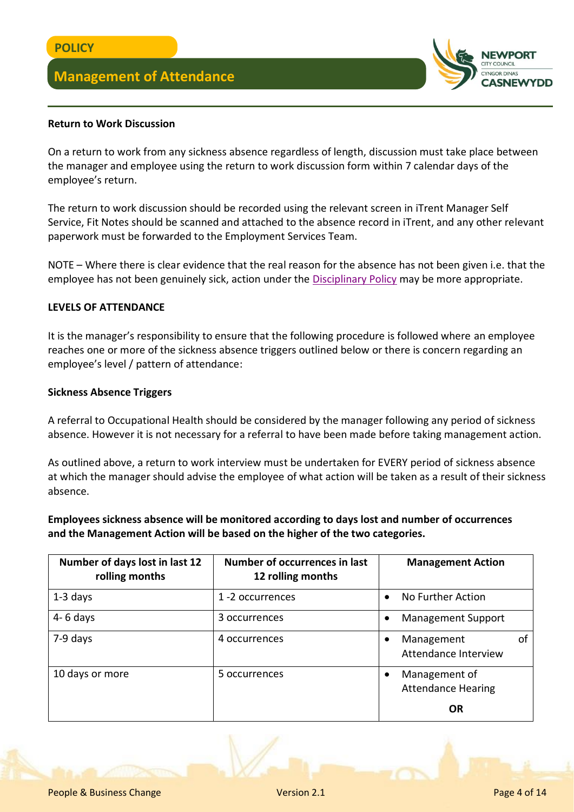

#### **Return to Work Discussion**

On a return to work from any sickness absence regardless of length, discussion must take place between the manager and employee using the return to work discussion form within 7 calendar days of the employee's return.

The return to work discussion should be recorded using the relevant screen in iTrent Manager Self Service, Fit Notes should be scanned and attached to the absence record in iTrent, and any other relevant paperwork must be forwarded to the Employment Services Team.

NOTE – Where there is clear evidence that the real reason for the absence has not been given i.e. that the employee has not been genuinely sick, action under the [Disciplinary Policy](http://www.newport.gov.uk/documents/Policies/HR-Disciplinary-Policy.pdf) may be more appropriate.

#### **LEVELS OF ATTENDANCE**

It is the manager's responsibility to ensure that the following procedure is followed where an employee reaches one or more of the sickness absence triggers outlined below or there is concern regarding an employee's level / pattern of attendance:

#### **Sickness Absence Triggers**

A referral to Occupational Health should be considered by the manager following any period of sickness absence. However it is not necessary for a referral to have been made before taking management action.

As outlined above, a return to work interview must be undertaken for EVERY period of sickness absence at which the manager should advise the employee of what action will be taken as a result of their sickness absence.

**Employees sickness absence will be monitored according to days lost and number of occurrences and the Management Action will be based on the higher of the two categories.**

| Number of days lost in last 12<br>rolling months | Number of occurrences in last<br>12 rolling months | <b>Management Action</b>                   |
|--------------------------------------------------|----------------------------------------------------|--------------------------------------------|
| $1-3$ days                                       | 1-2 occurrences                                    | No Further Action                          |
| $4 - 6$ days                                     | 3 occurrences                                      | <b>Management Support</b>                  |
| 7-9 days                                         | 4 occurrences                                      | Management<br>οf<br>Attendance Interview   |
| 10 days or more                                  | 5 occurrences                                      | Management of<br><b>Attendance Hearing</b> |
|                                                  |                                                    | 0R                                         |

People & Business Change Version 2.1 Page 4 of 14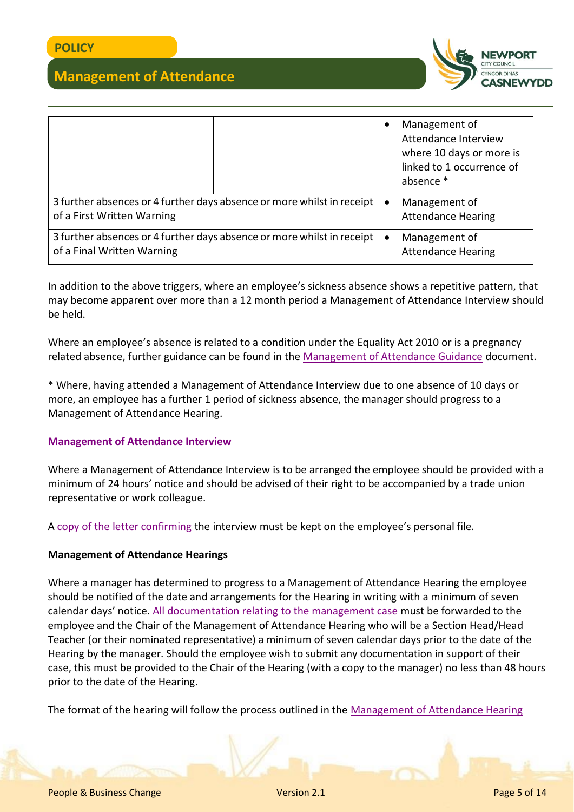

|                                                                                                      |  | Management of<br>Attendance Interview<br>where 10 days or more is<br>linked to 1 occurrence of<br>absence * |
|------------------------------------------------------------------------------------------------------|--|-------------------------------------------------------------------------------------------------------------|
| 3 further absences or 4 further days absence or more whilst in receipt<br>of a First Written Warning |  | Management of<br><b>Attendance Hearing</b>                                                                  |
| 3 further absences or 4 further days absence or more whilst in receipt<br>of a Final Written Warning |  | Management of<br><b>Attendance Hearing</b>                                                                  |

In addition to the above triggers, where an employee's sickness absence shows a repetitive pattern, that may become apparent over more than a 12 month period a Management of Attendance Interview should be held.

Where an employee's absence is related to a condition under the Equality Act 2010 or is a pregnancy related absence, further guidance can be found in the [Management of Attendance Guidance](http://www.newport.gov.uk/documents/Policies/HR-Management-of-Attendance-Guidance.pdf) document.

\* Where, having attended a Management of Attendance Interview due to one absence of 10 days or more, an employee has a further 1 period of sickness absence, the manager should progress to a Management of Attendance Hearing.

#### **[Management of Attendance Interview](http://www.newport.gov.uk/documents/Policies/HR-Management-of-Attendance-Interviews-Guidance.pdf)**

Where a Management of Attendance Interview is to be arranged the employee should be provided with a minimum of 24 hours' notice and should be advised of their right to be accompanied by a trade union representative or work colleague.

A [copy of the letter confirming](http://www.newport.gov.uk/documents/Templates/HR-Outcome-of-MoA-Interview.docx) the interview must be kept on the employee's personal file.

#### **Management of Attendance Hearings**

Where a manager has determined to progress to a Management of Attendance Hearing the employee should be notified of the date and arrangements for the Hearing in writing with a minimum of seven calendar days' notice. [All documentation relating to the management case](http://www.newport.gov.uk/documents/Templates/HR-Management-of-Attendance-Report-Template.docx) must be forwarded to the employee and the Chair of the Management of Attendance Hearing who will be a Section Head/Head Teacher (or their nominated representative) a minimum of seven calendar days prior to the date of the Hearing by the manager. Should the employee wish to submit any documentation in support of their case, this must be provided to the Chair of the Hearing (with a copy to the manager) no less than 48 hours prior to the date of the Hearing.

The format of the hearing will follow the process outlined in the [Management of Attendance Hearing](http://www.newport.gov.uk/documents/Policies/HR-Management-of-Attendance-Hearing-Format.pdf)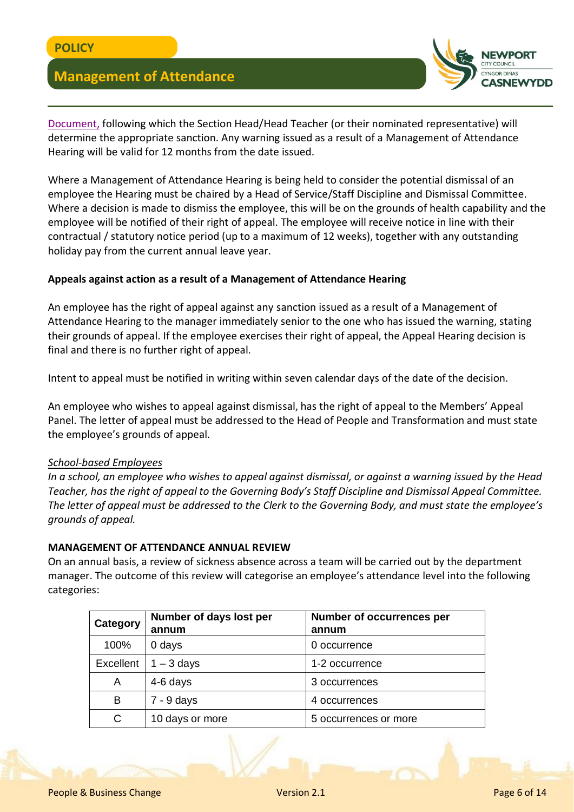

[Document,](http://www.newport.gov.uk/documents/Policies/HR-Management-of-Attendance-Hearing-Format.pdf) following which the Section Head/Head Teacher (or their nominated representative) will determine the appropriate sanction. Any warning issued as a result of a Management of Attendance Hearing will be valid for 12 months from the date issued.

Where a Management of Attendance Hearing is being held to consider the potential dismissal of an employee the Hearing must be chaired by a Head of Service/Staff Discipline and Dismissal Committee. Where a decision is made to dismiss the employee, this will be on the grounds of health capability and the employee will be notified of their right of appeal. The employee will receive notice in line with their contractual / statutory notice period (up to a maximum of 12 weeks), together with any outstanding holiday pay from the current annual leave year.

#### **Appeals against action as a result of a Management of Attendance Hearing**

An employee has the right of appeal against any sanction issued as a result of a Management of Attendance Hearing to the manager immediately senior to the one who has issued the warning, stating their grounds of appeal. If the employee exercises their right of appeal, the Appeal Hearing decision is final and there is no further right of appeal.

Intent to appeal must be notified in writing within seven calendar days of the date of the decision.

An employee who wishes to appeal against dismissal, has the right of appeal to the Members' Appeal Panel. The letter of appeal must be addressed to the Head of People and Transformation and must state the employee's grounds of appeal.

#### *School-based Employees*

*In a school, an employee who wishes to appeal against dismissal, or against a warning issued by the Head Teacher, has the right of appeal to the Governing Body's Staff Discipline and Dismissal Appeal Committee. The letter of appeal must be addressed to the Clerk to the Governing Body, and must state the employee's grounds of appeal.*

#### **MANAGEMENT OF ATTENDANCE ANNUAL REVIEW**

On an annual basis, a review of sickness absence across a team will be carried out by the department manager. The outcome of this review will categorise an employee's attendance level into the following categories:

| Category  | Number of days lost per<br>annum | <b>Number of occurrences per</b><br>annum |
|-----------|----------------------------------|-------------------------------------------|
| 100%      | 0 days                           | 0 occurrence                              |
| Excellent | $1 - 3$ days                     | 1-2 occurrence                            |
| A         | 4-6 days                         | 3 occurrences                             |
| B         | $7 - 9$ days                     | 4 occurrences                             |
| C         | 10 days or more                  | 5 occurrences or more                     |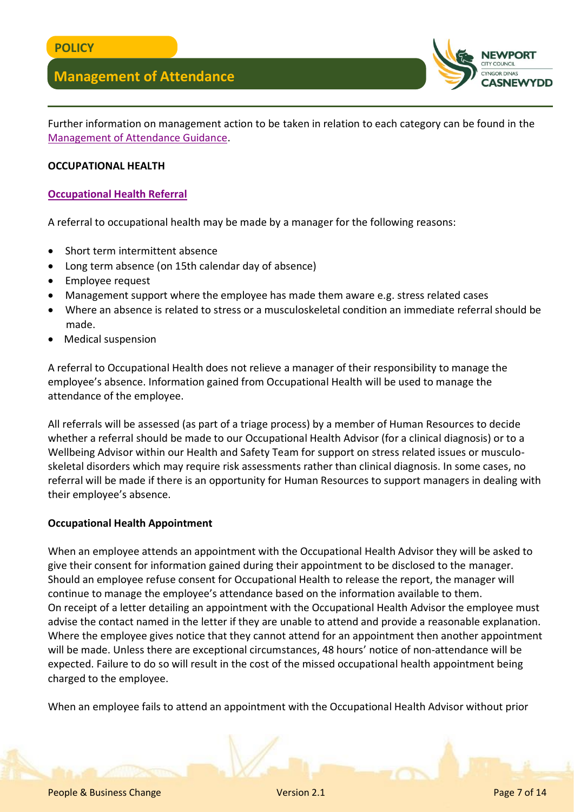

Further information on management action to be taken in relation to each category can be found in the [Management of Attendance Guidance.](http://www.newport.gov.uk/documents/Policies/HR-Management-of-Attendance-Guidance.pdf)

#### **OCCUPATIONAL HEALTH**

#### **[Occupational Health Referral](http://www.newport.gov.uk/documents/Forms/HR-Occupational-Health-Wellbeing-Referral-Form.docx)**

A referral to occupational health may be made by a manager for the following reasons:

- Short term intermittent absence
- Long term absence (on 15th calendar day of absence)
- Employee request
- Management support where the employee has made them aware e.g. stress related cases
- Where an absence is related to stress or a musculoskeletal condition an immediate referral should be made.
- Medical suspension

A referral to Occupational Health does not relieve a manager of their responsibility to manage the employee's absence. Information gained from Occupational Health will be used to manage the attendance of the employee.

All referrals will be assessed (as part of a triage process) by a member of Human Resources to decide whether a referral should be made to our Occupational Health Advisor (for a clinical diagnosis) or to a Wellbeing Advisor within our Health and Safety Team for support on stress related issues or musculoskeletal disorders which may require risk assessments rather than clinical diagnosis. In some cases, no referral will be made if there is an opportunity for Human Resources to support managers in dealing with their employee's absence.

#### **Occupational Health Appointment**

When an employee attends an appointment with the Occupational Health Advisor they will be asked to give their consent for information gained during their appointment to be disclosed to the manager. Should an employee refuse consent for Occupational Health to release the report, the manager will continue to manage the employee's attendance based on the information available to them. On receipt of a letter detailing an appointment with the Occupational Health Advisor the employee must advise the contact named in the letter if they are unable to attend and provide a reasonable explanation. Where the employee gives notice that they cannot attend for an appointment then another appointment will be made. Unless there are exceptional circumstances, 48 hours' notice of non-attendance will be expected. Failure to do so will result in the cost of the missed occupational health appointment being charged to the employee.

When an employee fails to attend an appointment with the Occupational Health Advisor without prior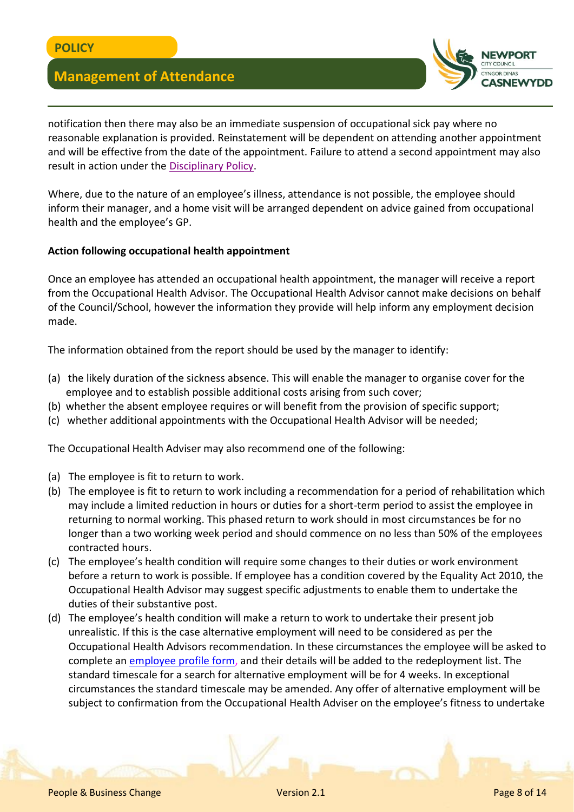

notification then there may also be an immediate suspension of occupational sick pay where no reasonable explanation is provided. Reinstatement will be dependent on attending another appointment and will be effective from the date of the appointment. Failure to attend a second appointment may also result in action under the [Disciplinary Policy.](http://www.newport.gov.uk/documents/Policies/HR-Disciplinary-Policy.pdf)

Where, due to the nature of an employee's illness, attendance is not possible, the employee should inform their manager, and a home visit will be arranged dependent on advice gained from occupational health and the employee's GP.

#### **Action following occupational health appointment**

Once an employee has attended an occupational health appointment, the manager will receive a report from the Occupational Health Advisor. The Occupational Health Advisor cannot make decisions on behalf of the Council/School, however the information they provide will help inform any employment decision made.

The information obtained from the report should be used by the manager to identify:

- (a) the likely duration of the sickness absence. This will enable the manager to organise cover for the employee and to establish possible additional costs arising from such cover;
- (b) whether the absent employee requires or will benefit from the provision of specific support;
- (c) whether additional appointments with the Occupational Health Advisor will be needed;

The Occupational Health Adviser may also recommend one of the following:

- (a) The employee is fit to return to work.
- (b) The employee is fit to return to work including a recommendation for a period of rehabilitation which may include a limited reduction in hours or duties for a short-term period to assist the employee in returning to normal working. This phased return to work should in most circumstances be for no longer than a two working week period and should commence on no less than 50% of the employees contracted hours.
- (c) The employee's health condition will require some changes to their duties or work environment before a return to work is possible. If employee has a condition covered by the Equality Act 2010, the Occupational Health Advisor may suggest specific adjustments to enable them to undertake the duties of their substantive post.
- (d) The employee's health condition will make a return to work to undertake their present job unrealistic. If this is the case alternative employment will need to be considered as per the Occupational Health Advisors recommendation. In these circumstances the employee will be asked to complete an [employee profile form,](http://www.newport.gov.uk/documents/Forms/HR-Employee-Profile.docx) and their details will be added to the redeployment list. The standard timescale for a search for alternative employment will be for 4 weeks. In exceptional circumstances the standard timescale may be amended. Any offer of alternative employment will be subject to confirmation from the Occupational Health Adviser on the employee's fitness to undertake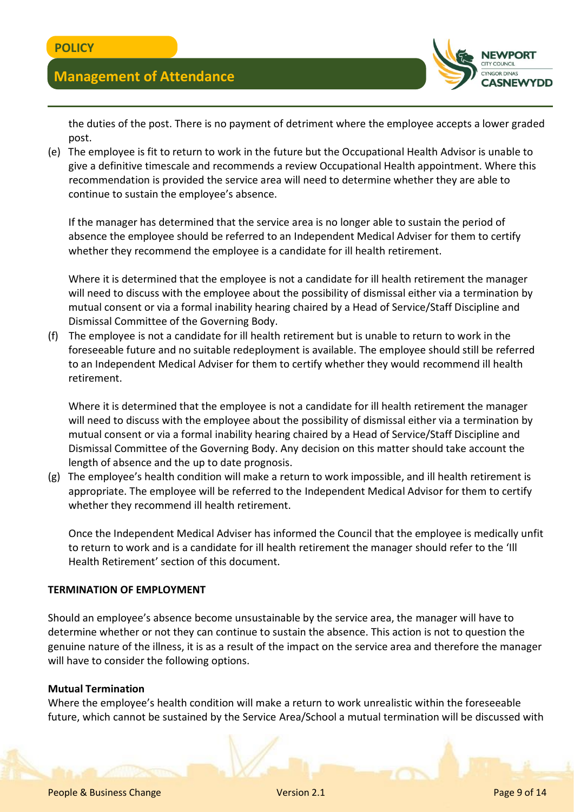

the duties of the post. There is no payment of detriment where the employee accepts a lower graded post.

(e) The employee is fit to return to work in the future but the Occupational Health Advisor is unable to give a definitive timescale and recommends a review Occupational Health appointment. Where this recommendation is provided the service area will need to determine whether they are able to continue to sustain the employee's absence.

If the manager has determined that the service area is no longer able to sustain the period of absence the employee should be referred to an Independent Medical Adviser for them to certify whether they recommend the employee is a candidate for ill health retirement.

Where it is determined that the employee is not a candidate for ill health retirement the manager will need to discuss with the employee about the possibility of dismissal either via a termination by mutual consent or via a formal inability hearing chaired by a Head of Service/Staff Discipline and Dismissal Committee of the Governing Body.

(f) The employee is not a candidate for ill health retirement but is unable to return to work in the foreseeable future and no suitable redeployment is available. The employee should still be referred to an Independent Medical Adviser for them to certify whether they would recommend ill health retirement.

Where it is determined that the employee is not a candidate for ill health retirement the manager will need to discuss with the employee about the possibility of dismissal either via a termination by mutual consent or via a formal inability hearing chaired by a Head of Service/Staff Discipline and Dismissal Committee of the Governing Body. Any decision on this matter should take account the length of absence and the up to date prognosis.

(g) The employee's health condition will make a return to work impossible, and ill health retirement is appropriate. The employee will be referred to the Independent Medical Advisor for them to certify whether they recommend ill health retirement.

Once the Independent Medical Adviser has informed the Council that the employee is medically unfit to return to work and is a candidate for ill health retirement the manager should refer to the 'Ill Health Retirement' section of this document.

#### **TERMINATION OF EMPLOYMENT**

Should an employee's absence become unsustainable by the service area, the manager will have to determine whether or not they can continue to sustain the absence. This action is not to question the genuine nature of the illness, it is as a result of the impact on the service area and therefore the manager will have to consider the following options.

#### **Mutual Termination**

Where the employee's health condition will make a return to work unrealistic within the foreseeable future, which cannot be sustained by the Service Area/School a mutual termination will be discussed with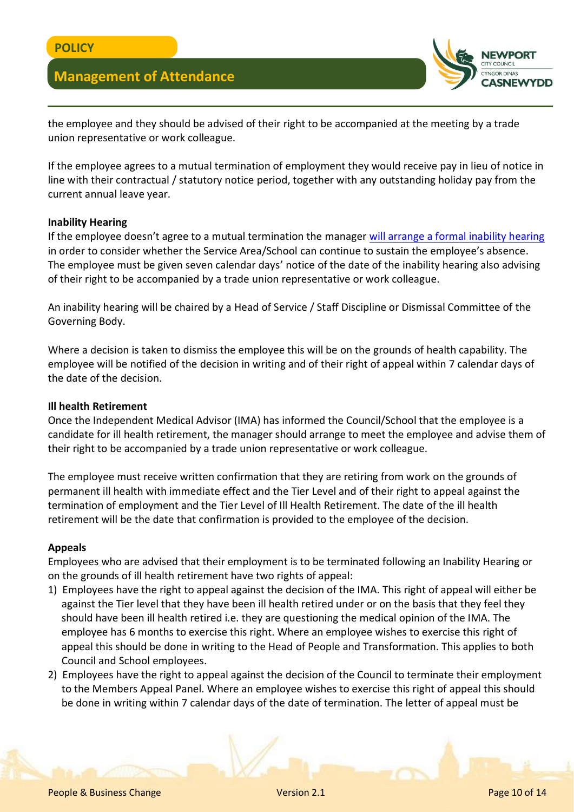

the employee and they should be advised of their right to be accompanied at the meeting by a trade union representative or work colleague.

If the employee agrees to a mutual termination of employment they would receive pay in lieu of notice in line with their contractual / statutory notice period, together with any outstanding holiday pay from the current annual leave year.

#### **Inability Hearing**

If the employee doesn't agree to a mutual termination the manager [will arrange a formal inability hearing](http://www.newport.gov.uk/documents/Templates/HR-Invitation-to-Inability-Hearing.docx) in order to consider whether the Service Area/School can continue to sustain the employee's absence. The employee must be given seven calendar days' notice of the date of the inability hearing also advising of their right to be accompanied by a trade union representative or work colleague.

An inability hearing will be chaired by a Head of Service / Staff Discipline or Dismissal Committee of the Governing Body.

Where a decision is taken to dismiss the employee this will be on the grounds of health capability. The employee will be notified of the decision in writing and of their right of appeal within 7 calendar days of the date of the decision.

#### **Ill health Retirement**

Once the Independent Medical Advisor (IMA) has informed the Council/School that the employee is a candidate for ill health retirement, the manager should arrange to meet the employee and advise them of their right to be accompanied by a trade union representative or work colleague.

The employee must receive written confirmation that they are retiring from work on the grounds of permanent ill health with immediate effect and the Tier Level and of their right to appeal against the termination of employment and the Tier Level of Ill Health Retirement. The date of the ill health retirement will be the date that confirmation is provided to the employee of the decision.

#### **Appeals**

Employees who are advised that their employment is to be terminated following an Inability Hearing or on the grounds of ill health retirement have two rights of appeal:

- 1) Employees have the right to appeal against the decision of the IMA. This right of appeal will either be against the Tier level that they have been ill health retired under or on the basis that they feel they should have been ill health retired i.e. they are questioning the medical opinion of the IMA. The employee has 6 months to exercise this right. Where an employee wishes to exercise this right of appeal this should be done in writing to the Head of People and Transformation. This applies to both Council and School employees.
- 2) Employees have the right to appeal against the decision of the Council to terminate their employment to the Members Appeal Panel. Where an employee wishes to exercise this right of appeal this should be done in writing within 7 calendar days of the date of termination. The letter of appeal must be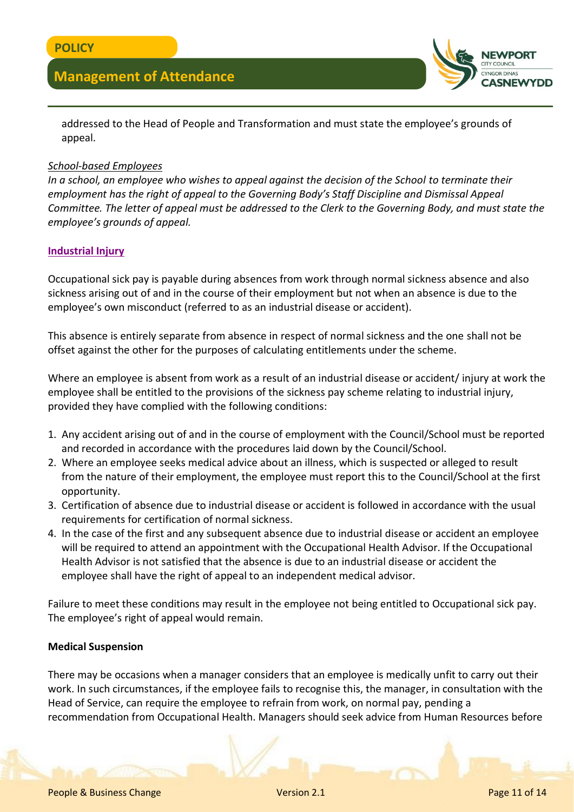

addressed to the Head of People and Transformation and must state the employee's grounds of appeal.

#### *School-based Employees*

*In a school, an employee who wishes to appeal against the decision of the School to terminate their employment has the right of appeal to the Governing Body's Staff Discipline and Dismissal Appeal Committee. The letter of appeal must be addressed to the Clerk to the Governing Body, and must state the employee's grounds of appeal.*

#### **[Industrial Injury](http://www.newport.gov.uk/documents/Policies/HR-Industrial-Injury---Guidelines-for-absence-as-a-result-of.pdf)**

Occupational sick pay is payable during absences from work through normal sickness absence and also sickness arising out of and in the course of their employment but not when an absence is due to the employee's own misconduct (referred to as an industrial disease or accident).

This absence is entirely separate from absence in respect of normal sickness and the one shall not be offset against the other for the purposes of calculating entitlements under the scheme.

Where an employee is absent from work as a result of an industrial disease or accident/ injury at work the employee shall be entitled to the provisions of the sickness pay scheme relating to industrial injury, provided they have complied with the following conditions:

- 1. Any accident arising out of and in the course of employment with the Council/School must be reported and recorded in accordance with the procedures laid down by the Council/School.
- 2. Where an employee seeks medical advice about an illness, which is suspected or alleged to result from the nature of their employment, the employee must report this to the Council/School at the first opportunity.
- 3. Certification of absence due to industrial disease or accident is followed in accordance with the usual requirements for certification of normal sickness.
- 4. In the case of the first and any subsequent absence due to industrial disease or accident an employee will be required to attend an appointment with the Occupational Health Advisor. If the Occupational Health Advisor is not satisfied that the absence is due to an industrial disease or accident the employee shall have the right of appeal to an independent medical advisor.

Failure to meet these conditions may result in the employee not being entitled to Occupational sick pay. The employee's right of appeal would remain.

#### **Medical Suspension**

There may be occasions when a manager considers that an employee is medically unfit to carry out their work. In such circumstances, if the employee fails to recognise this, the manager, in consultation with the Head of Service, can require the employee to refrain from work, on normal pay, pending a recommendation from Occupational Health. Managers should seek advice from Human Resources before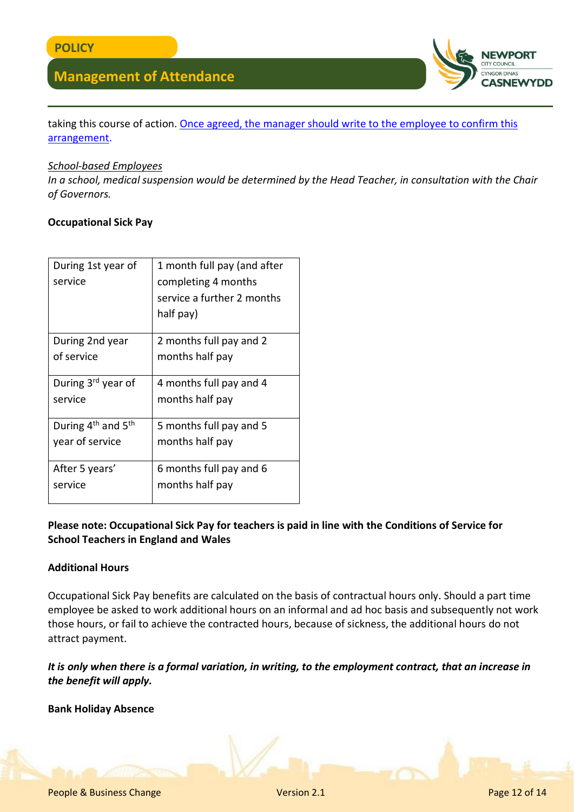

taking this course of action. [Once agreed, the manager should write to the employee to confirm this](http://www.newport.gov.uk/documents/Templates/HR-Medical-Suspension.docx)  [arrangement.](http://www.newport.gov.uk/documents/Templates/HR-Medical-Suspension.docx)

#### *School-based Employees*

*In a school, medical suspension would be determined by the Head Teacher, in consultation with the Chair of Governors.*

#### **Occupational Sick Pay**

| During 1st year of<br>service  | 1 month full pay (and after<br>completing 4 months |
|--------------------------------|----------------------------------------------------|
|                                | service a further 2 months                         |
|                                | half pay)                                          |
| During 2nd year                | 2 months full pay and 2                            |
| of service                     | months half pay                                    |
| During 3 <sup>rd</sup> year of | 4 months full pay and 4                            |
| service                        | months half pay                                    |
| During $4^{th}$ and $5^{th}$   | 5 months full pay and 5                            |
| year of service                | months half pay                                    |
| After 5 years'                 | 6 months full pay and 6                            |
| service                        | months half pay                                    |
|                                |                                                    |

#### **Please note: Occupational Sick Pay for teachers is paid in line with the Conditions of Service for School Teachers in England and Wales**

#### **Additional Hours**

Occupational Sick Pay benefits are calculated on the basis of contractual hours only. Should a part time employee be asked to work additional hours on an informal and ad hoc basis and subsequently not work those hours, or fail to achieve the contracted hours, because of sickness, the additional hours do not attract payment.

*It is only when there is a formal variation, in writing, to the employment contract, that an increase in the benefit will apply.*

**Bank Holiday Absence**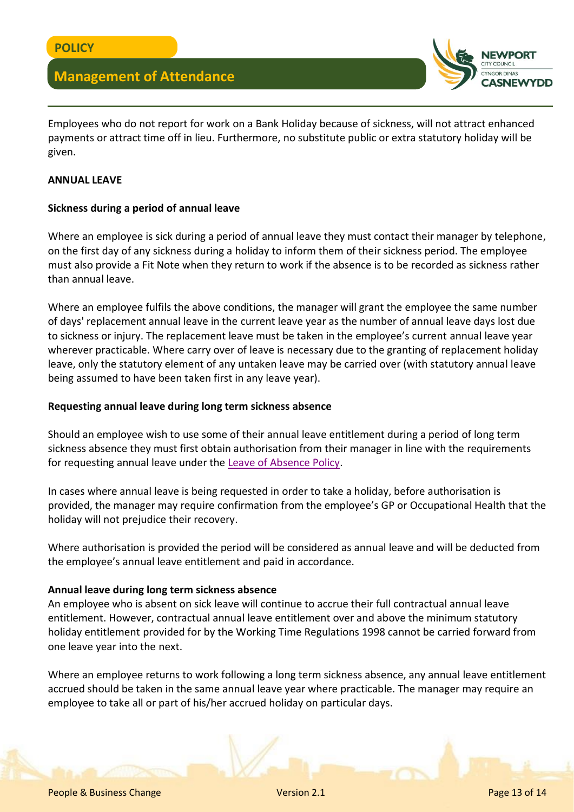

Employees who do not report for work on a Bank Holiday because of sickness, will not attract enhanced payments or attract time off in lieu. Furthermore, no substitute public or extra statutory holiday will be given.

#### **ANNUAL LEAVE**

#### **Sickness during a period of annual leave**

Where an employee is sick during a period of annual leave they must contact their manager by telephone, on the first day of any sickness during a holiday to inform them of their sickness period. The employee must also provide a Fit Note when they return to work if the absence is to be recorded as sickness rather than annual leave.

Where an employee fulfils the above conditions, the manager will grant the employee the same number of days' replacement annual leave in the current leave year as the number of annual leave days lost due to sickness or injury. The replacement leave must be taken in the employee's current annual leave year wherever practicable. Where carry over of leave is necessary due to the granting of replacement holiday leave, only the statutory element of any untaken leave may be carried over (with statutory annual leave being assumed to have been taken first in any leave year).

#### **Requesting annual leave during long term sickness absence**

Should an employee wish to use some of their annual leave entitlement during a period of long term sickness absence they must first obtain authorisation from their manager in line with the requirements for requesting annual leave under the [Leave of Absence Policy.](http://www.newport.gov.uk/documents/Policies/HR-Leave-of-Absence-Policy.pdf)

In cases where annual leave is being requested in order to take a holiday, before authorisation is provided, the manager may require confirmation from the employee's GP or Occupational Health that the holiday will not prejudice their recovery.

Where authorisation is provided the period will be considered as annual leave and will be deducted from the employee's annual leave entitlement and paid in accordance.

#### **Annual leave during long term sickness absence**

An employee who is absent on sick leave will continue to accrue their full contractual annual leave entitlement. However, contractual annual leave entitlement over and above the minimum statutory holiday entitlement provided for by the Working Time Regulations 1998 cannot be carried forward from one leave year into the next.

Where an employee returns to work following a long term sickness absence, any annual leave entitlement accrued should be taken in the same annual leave year where practicable. The manager may require an employee to take all or part of his/her accrued holiday on particular days.